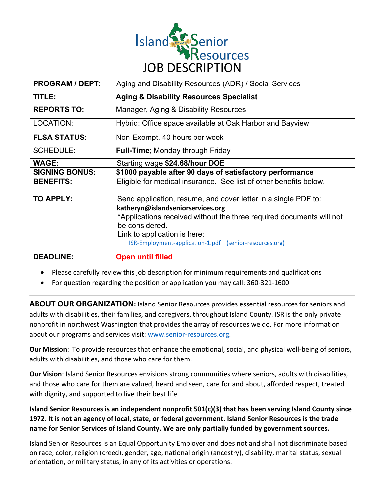

| <b>PROGRAM / DEPT:</b> | Aging and Disability Resources (ADR) / Social Services               |
|------------------------|----------------------------------------------------------------------|
| TITLE:                 | <b>Aging &amp; Disability Resources Specialist</b>                   |
| <b>REPORTS TO:</b>     | Manager, Aging & Disability Resources                                |
| LOCATION:              | Hybrid: Office space available at Oak Harbor and Bayview             |
| <b>FLSA STATUS:</b>    | Non-Exempt, 40 hours per week                                        |
| <b>SCHEDULE:</b>       | <b>Full-Time</b> ; Monday through Friday                             |
| <b>WAGE:</b>           | Starting wage \$24.68/hour DOE                                       |
| <b>SIGNING BONUS:</b>  | \$1000 payable after 90 days of satisfactory performance             |
| <b>BENEFITS:</b>       | Eligible for medical insurance. See list of other benefits below.    |
| <b>TO APPLY:</b>       | Send application, resume, and cover letter in a single PDF to:       |
|                        | katheryn@islandseniorservices.org                                    |
|                        | *Applications received without the three required documents will not |
|                        | be considered.                                                       |
|                        | Link to application is here:                                         |
|                        | ISR-Employment-application-1.pdf (senior-resources.org)              |
| <b>DEADLINE:</b>       | <b>Open until filled</b>                                             |

• Please carefully review this job description for minimum requirements and qualifications

• For question regarding the position or application you may call: 360-321-1600

**ABOUT OUR ORGANIZATION:** Island Senior Resources provides essential resources for seniors and adults with disabilities, their families, and caregivers, throughout Island County. ISR is the only private nonprofit in northwest Washington that provides the array of resources we do. For more information about our programs and services visit: www.senior-resources.org.

**Our Mission**: To provide resources that enhance the emotional, social, and physical well-being of seniors, adults with disabilities, and those who care for them.

**Our Vision**: Island Senior Resources envisions strong communities where seniors, adults with disabilities, and those who care for them are valued, heard and seen, care for and about, afforded respect, treated with dignity, and supported to live their best life.

**Island Senior Resources is an independent nonprofit 501(c)(3) that has been serving Island County since 1972. It is not an agency of local, state, or federal government. Island Senior Resources is the trade name for Senior Services of Island County. We are only partially funded by government sources.**

Island Senior Resources is an Equal Opportunity Employer and does not and shall not discriminate based on race, color, religion (creed), gender, age, national origin (ancestry), disability, marital status, sexual orientation, or military status, in any of its activities or operations.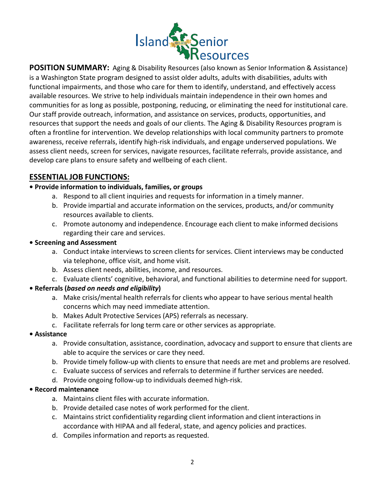

is a Washington State program designed to assist older adults, adults with disabilities, adults with functional impairments, and those who care for them to identify, understand, and effectively access available resources. We strive to help individuals maintain independence in their own homes and communities for as long as possible, postponing, reducing, or eliminating the need for institutional care. Our staff provide outreach, information, and assistance on services, products, opportunities, and resources that support the needs and goals of our clients. The Aging & Disability Resources program is often a frontline for intervention. We develop relationships with local community partners to promote awareness, receive referrals, identify high-risk individuals, and engage underserved populations. We assess client needs, screen for services, navigate resources, facilitate referrals, provide assistance, and develop care plans to ensure safety and wellbeing of each client.

# **ESSENTIAL JOB FUNCTIONS:**

## **• Provide information to individuals, families, or groups**

- a. Respond to all client inquiries and requests for information in a timely manner.
- b. Provide impartial and accurate information on the services, products, and/or community resources available to clients.
- c. Promote autonomy and independence. Encourage each client to make informed decisions regarding their care and services.

## **• Screening and Assessment**

- a. Conduct intake interviews to screen clients for services. Client interviews may be conducted via telephone, office visit, and home visit.
- b. Assess client needs, abilities, income, and resources.
- c. Evaluate clients' cognitive, behavioral, and functional abilities to determine need for support.

## **• Referrals (***based on needs and eligibility***)**

- a. Make crisis/mental health referrals for clients who appear to have serious mental health concerns which may need immediate attention.
- b. Makes Adult Protective Services (APS) referrals as necessary.
- c. Facilitate referrals for long term care or other services as appropriate.

## **• Assistance**

- a. Provide consultation, assistance, coordination, advocacy and support to ensure that clients are able to acquire the services or care they need.
- b. Provide timely follow-up with clients to ensure that needs are met and problems are resolved.
- c. Evaluate success of services and referrals to determine if further services are needed.
- d. Provide ongoing follow-up to individuals deemed high-risk.

## **• Record maintenance**

- a. Maintains client files with accurate information.
- b. Provide detailed case notes of work performed for the client.
- c. Maintains strict confidentiality regarding client information and client interactions in accordance with HIPAA and all federal, state, and agency policies and practices.
- d. Compiles information and reports as requested.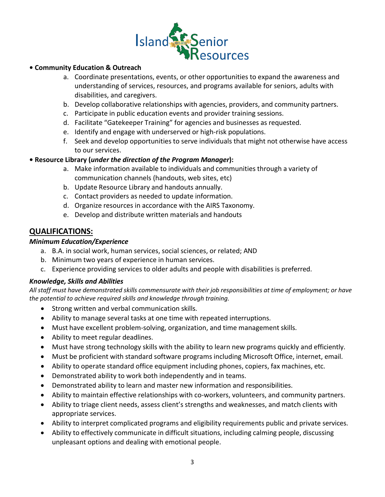

- a. Coordinate presentations, events, or other opportunities to expand the awareness and understanding of services, resources, and programs available for seniors, adults with disabilities, and caregivers.
- b. Develop collaborative relationships with agencies, providers, and community partners.
- c. Participate in public education events and provider training sessions.
- d. Facilitate "Gatekeeper Training" for agencies and businesses as requested.
- e. Identify and engage with underserved or high-risk populations.
- f. Seek and develop opportunities to serve individuals that might not otherwise have access to our services.

## **• Resource Library (***under the direction of the Program Manager***):**

- a. Make information available to individuals and communities through a variety of communication channels (handouts, web sites, etc)
- b. Update Resource Library and handouts annually.
- c. Contact providers as needed to update information.
- d. Organize resources in accordance with the AIRS Taxonomy.
- e. Develop and distribute written materials and handouts

## **QUALIFICATIONS:**

### *Minimum Education/Experience*

- a. B.A. in social work, human services, social sciences, or related; AND
- b. Minimum two years of experience in human services.
- c. Experience providing services to older adults and people with disabilities is preferred.

### *Knowledge, Skills and Abilities*

All staff must have demonstrated skills commensurate with their job responsibilities at time of employment; or have *the potential to achieve required skills and knowledge through training.*

- Strong written and verbal communication skills.
- Ability to manage several tasks at one time with repeated interruptions.
- Must have excellent problem-solving, organization, and time management skills.
- Ability to meet regular deadlines.
- Must have strong technology skills with the ability to learn new programs quickly and efficiently.
- Must be proficient with standard software programs including Microsoft Office, internet, email.
- Ability to operate standard office equipment including phones, copiers, fax machines, etc.
- Demonstrated ability to work both independently and in teams.
- Demonstrated ability to learn and master new information and responsibilities.
- Ability to maintain effective relationships with co-workers, volunteers, and community partners.
- Ability to triage client needs, assess client's strengths and weaknesses, and match clients with appropriate services.
- Ability to interpret complicated programs and eligibility requirements public and private services.
- Ability to effectively communicate in difficult situations, including calming people, discussing unpleasant options and dealing with emotional people.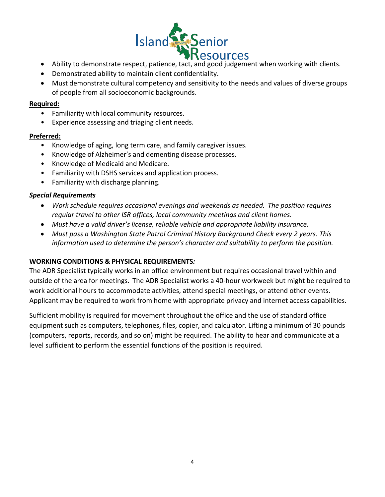

- Ability to demonstrate respect, patience, tact, and good judgement when working with clients.
- Demonstrated ability to maintain client confidentiality.
- Must demonstrate cultural competency and sensitivity to the needs and values of diverse groups of people from all socioeconomic backgrounds.

### **Required:**

- Familiarity with local community resources.
- Experience assessing and triaging client needs.

#### **Preferred:**

- Knowledge of aging, long term care, and family caregiver issues.
- Knowledge of Alzheimer's and dementing disease processes.
- Knowledge of Medicaid and Medicare.
- Familiarity with DSHS services and application process.
- Familiarity with discharge planning.

## *Special Requirements*

- *Work schedule requires occasional evenings and weekends as needed. The position requires regular travel to other ISR offices, local community meetings and client homes.*
- *Must have a valid driver's license, reliable vehicle and appropriate liability insurance.*
- *Must pass a Washington State Patrol Criminal History Background Check every 2 years. This information used to determine the person's character and suitability to perform the position.*

### **WORKING CONDITIONS & PHYSICAL REQUIREMENTS***:*

The ADR Specialist typically works in an office environment but requires occasional travel within and outside of the area for meetings. The ADR Specialist works a 40-hour workweek but might be required to work additional hours to accommodate activities, attend special meetings, or attend other events. Applicant may be required to work from home with appropriate privacy and internet access capabilities.

Sufficient mobility is required for movement throughout the office and the use of standard office equipment such as computers, telephones, files, copier, and calculator. Lifting a minimum of 30 pounds (computers, reports, records, and so on) might be required. The ability to hear and communicate at a level sufficient to perform the essential functions of the position is required.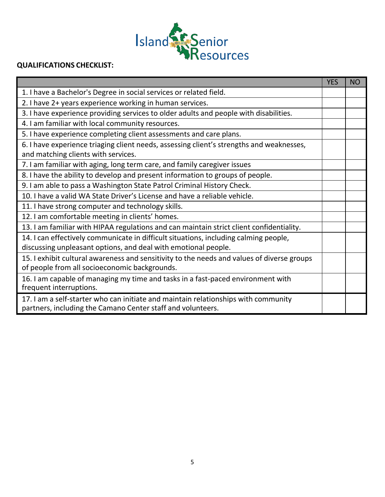![](_page_4_Picture_0.jpeg)

# **QUALIFICATIONS CHECKLIST:**

|                                                                                            | <b>YES</b> | <b>NO</b> |
|--------------------------------------------------------------------------------------------|------------|-----------|
| 1. I have a Bachelor's Degree in social services or related field.                         |            |           |
| 2. I have 2+ years experience working in human services.                                   |            |           |
| 3. I have experience providing services to older adults and people with disabilities.      |            |           |
| 4. I am familiar with local community resources.                                           |            |           |
| 5. I have experience completing client assessments and care plans.                         |            |           |
| 6. I have experience triaging client needs, assessing client's strengths and weaknesses,   |            |           |
| and matching clients with services.                                                        |            |           |
| 7. I am familiar with aging, long term care, and family caregiver issues                   |            |           |
| 8. I have the ability to develop and present information to groups of people.              |            |           |
| 9. I am able to pass a Washington State Patrol Criminal History Check.                     |            |           |
| 10. I have a valid WA State Driver's License and have a reliable vehicle.                  |            |           |
| 11. I have strong computer and technology skills.                                          |            |           |
| 12. I am comfortable meeting in clients' homes.                                            |            |           |
| 13. I am familiar with HIPAA regulations and can maintain strict client confidentiality.   |            |           |
| 14. I can effectively communicate in difficult situations, including calming people,       |            |           |
| discussing unpleasant options, and deal with emotional people.                             |            |           |
| 15. I exhibit cultural awareness and sensitivity to the needs and values of diverse groups |            |           |
| of people from all socioeconomic backgrounds.                                              |            |           |
| 16. I am capable of managing my time and tasks in a fast-paced environment with            |            |           |
| frequent interruptions.                                                                    |            |           |
| 17. I am a self-starter who can initiate and maintain relationships with community         |            |           |
| partners, including the Camano Center staff and volunteers.                                |            |           |